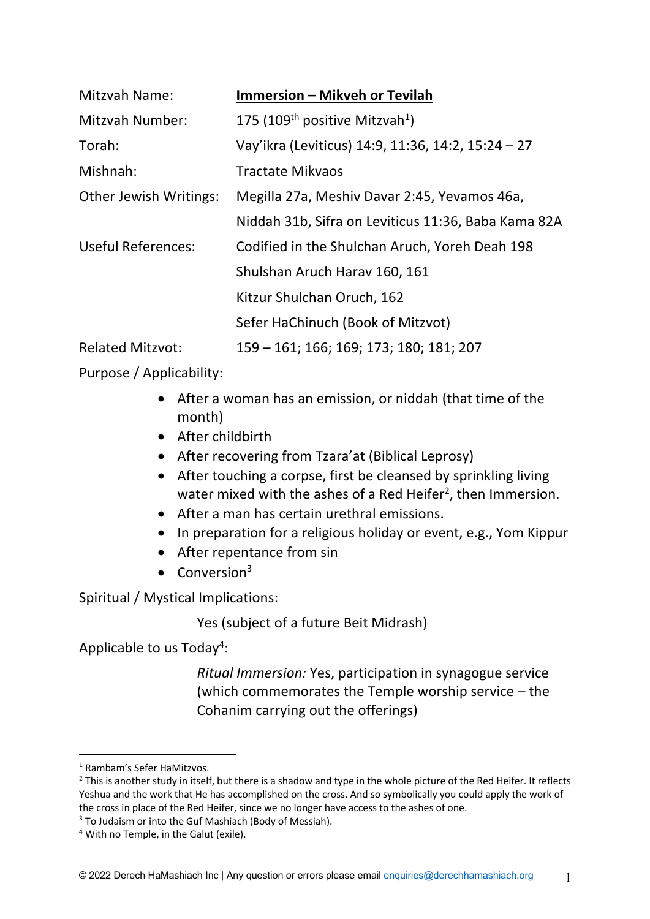| <b>Mitzvah Name:</b>          | <b>Immersion - Mikveh or Tevilah</b>                   |
|-------------------------------|--------------------------------------------------------|
| Mitzvah Number:               | 175 (109 <sup>th</sup> positive Mitzvah <sup>1</sup> ) |
| Torah:                        | Vay'ikra (Leviticus) 14:9, 11:36, 14:2, 15:24 - 27     |
| Mishnah:                      | <b>Tractate Mikvaos</b>                                |
| <b>Other Jewish Writings:</b> | Megilla 27a, Meshiv Davar 2:45, Yevamos 46a,           |
|                               | Niddah 31b, Sifra on Leviticus 11:36, Baba Kama 82A    |
| <b>Useful References:</b>     | Codified in the Shulchan Aruch, Yoreh Deah 198         |
|                               | Shulshan Aruch Harav 160, 161                          |
|                               | Kitzur Shulchan Oruch, 162                             |
|                               | Sefer HaChinuch (Book of Mitzvot)                      |
| <b>Related Mitzvot:</b>       | 159 - 161; 166; 169; 173; 180; 181; 207                |

Purpose / Applicability:

- After a woman has an emission, or niddah (that time of the month)
- After childbirth
- After recovering from Tzara'at (Biblical Leprosy)
- After touching a corpse, first be cleansed by sprinkling living water mixed with the ashes of a Red Heifer<sup>2</sup>, then Immersion.
- After a man has certain urethral emissions.
- In preparation for a religious holiday or event, e.g., Yom Kippur
- After repentance from sin
- $\bullet$  Conversion<sup>3</sup>

Spiritual / Mystical Implications:

Yes (subject of a future Beit Midrash)

Applicable to us Today<sup>4</sup>:

*Ritual Immersion:* Yes, participation in synagogue service (which commemorates the Temple worship service – the Cohanim carrying out the offerings)

 $3$  To Judaism or into the Guf Mashiach (Body of Messiah).

<sup>1</sup> Rambam's Sefer HaMitzvos.

<sup>&</sup>lt;sup>2</sup> This is another study in itself, but there is a shadow and type in the whole picture of the Red Heifer. It reflects Yeshua and the work that He has accomplished on the cross. And so symbolically you could apply the work of the cross in place of the Red Heifer, since we no longer have access to the ashes of one.

<sup>4</sup> With no Temple, in the Galut (exile).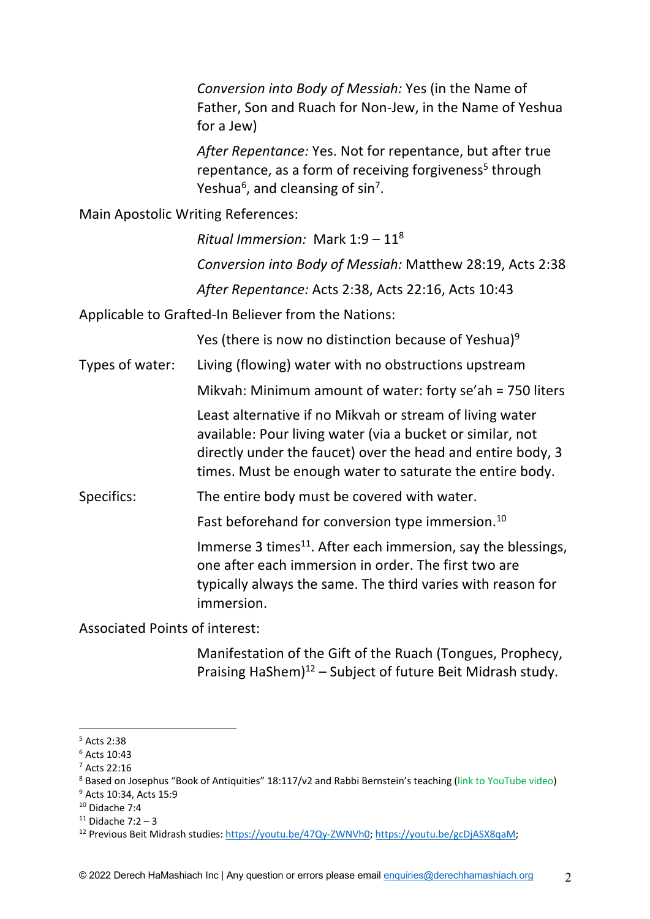*Conversion into Body of Messiah:* Yes (in the Name of Father, Son and Ruach for Non-Jew, in the Name of Yeshua for a Jew)

*After Repentance:* Yes. Not for repentance, but after true repentance, as a form of receiving forgiveness<sup>5</sup> through Yeshua<sup>6</sup>, and cleansing of sin<sup>7</sup>.

Main Apostolic Writing References:

*Ritual Immersion:* Mark 1:9 – 118 *Conversion into Body of Messiah:* Matthew 28:19, Acts 2:38 *After Repentance:* Acts 2:38, Acts 22:16, Acts 10:43

Applicable to Grafted-In Believer from the Nations:

Yes (there is now no distinction because of Yeshua)<sup>9</sup>

Types of water: Living (flowing) water with no obstructions upstream Mikvah: Minimum amount of water: forty se'ah = 750 liters

> Least alternative if no Mikvah or stream of living water available: Pour living water (via a bucket or similar, not directly under the faucet) over the head and entire body, 3 times. Must be enough water to saturate the entire body.

Specifics: The entire body must be covered with water.

Fast beforehand for conversion type immersion.<sup>10</sup>

Immerse 3 times<sup>11</sup>. After each immersion, say the blessings, one after each immersion in order. The first two are typically always the same. The third varies with reason for immersion.

Associated Points of interest:

Manifestation of the Gift of the Ruach (Tongues, Prophecy, Praising HaShem) $12$  – Subject of future Beit Midrash study.

<sup>5</sup> Acts 2:38

 $6$  Acts 10:43

<sup>7</sup> Acts 22:16

<sup>8</sup> Based on Josephus "Book of Antiquities" 18:117/v2 and Rabbi Bernstein's teaching (link to YouTube video) <sup>9</sup> Acts 10:34, Acts 15:9

 $10$  Didache 7:4

 $11$  Didache 7:2 – 3

<sup>&</sup>lt;sup>12</sup> Previous Beit Midrash studies: https://youtu.be/47Qy-ZWNVh0; https://youtu.be/gcDjASX8qaM;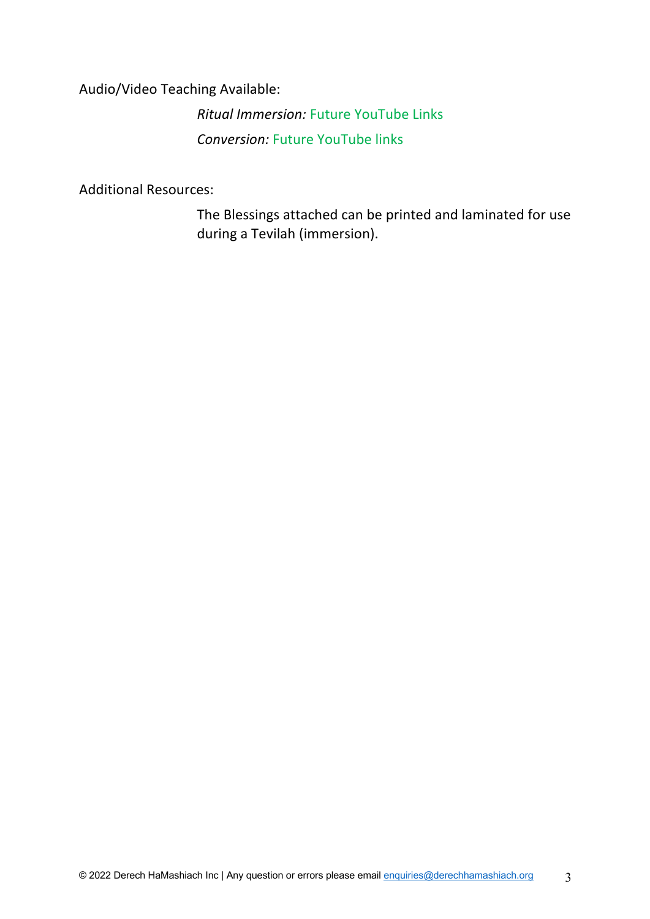Audio/Video Teaching Available:

*Ritual Immersion:* Future YouTube Links *Conversion:* Future YouTube links

Additional Resources:

The Blessings attached can be printed and laminated for use during a Tevilah (immersion).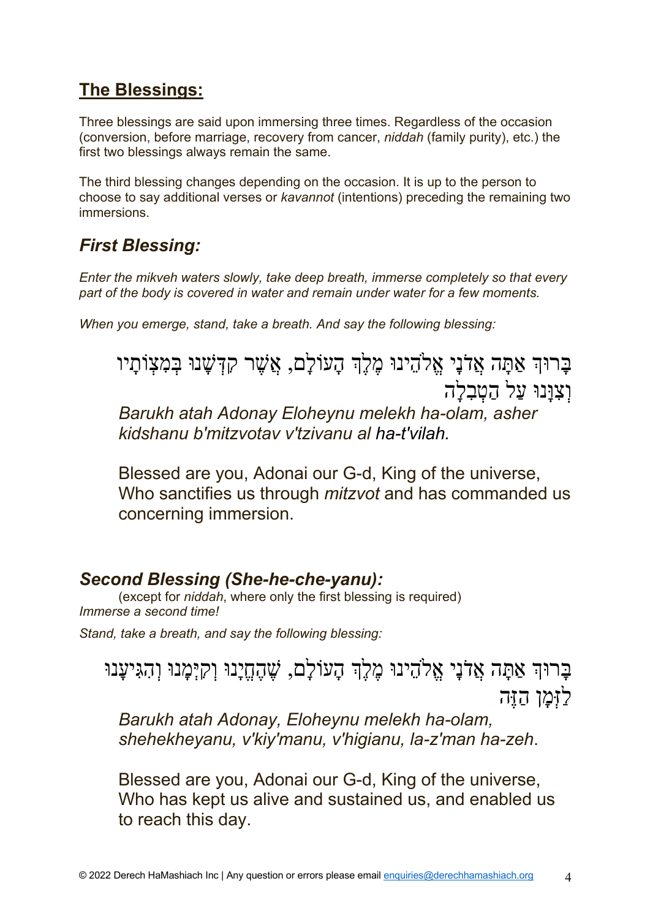### **The Blessings:**

Three blessings are said upon immersing three times. Regardless of the occasion (conversion, before marriage, recovery from cancer, *niddah* (family purity), etc.) the first two blessings always remain the same.

The third blessing changes depending on the occasion. It is up to the person to choose to say additional verses or *kavannot* (intentions) preceding the remaining two immersions.

### *First Blessing:*

*Enter the mikveh waters slowly, take deep breath, immerse completely so that every part of the body is covered in water and remain under water for a few moments.*

*When you emerge, stand, take a breath. And say the following blessing:*

ָבְרוּךְ אַתַּה אֲלֹנֵי אֱלֹהֶינוּ מֶלֶךְ הָעוֹלַם, אֲשֶׁר קִדְּשָׁנוּ בִּמְצָוֹתַיו וְצְוַּנוּ עַל הַטְבְלַה

*Barukh atah Adonay Eloheynu melekh ha-olam, asher kidshanu b'mitzvotav v'tzivanu al ha-t'vilah.*

Blessed are you, Adonai our G-d, King of the universe, Who sanctifies us through *mitzvot* and has commanded us concerning immersion.

#### *Second Blessing (She-he-che-yanu):*

(except for *niddah*, where only the first blessing is required) *Immerse a second time!*

*Stand, take a breath, and say the following blessing:*

ָבָרוּהְ אַתָּה אֲדֹנָי אֱלֹהֵינוּ מֶלֶךְ הָעוֹלָם, שֶׁהֶחֱיָנוּ וְקִיָּמָנוּ וְהִגִּיעָנוּ לַזָּמַן הַזֶּה

*Barukh atah Adonay, Eloheynu melekh ha-olam, shehekheyanu, v'kiy'manu, v'higianu, la-z'man ha-zeh*.

Blessed are you, Adonai our G-d, King of the universe, Who has kept us alive and sustained us, and enabled us to reach this day.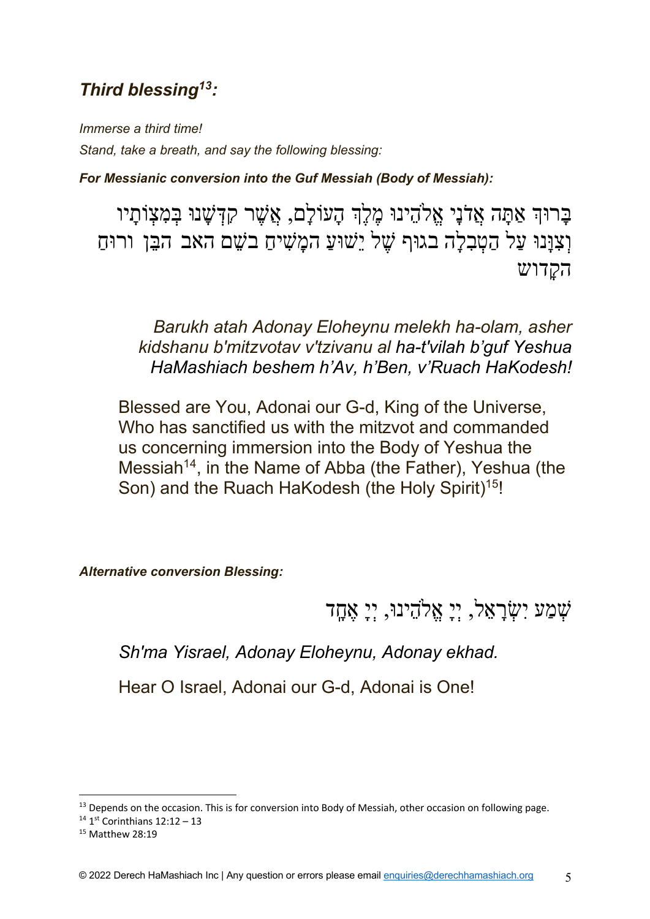### *Third blessing13:*

*Immerse a third time! Stand, take a breath, and say the following blessing:*

*For Messianic conversion into the Guf Messiah (Body of Messiah):*

ַבְרוּךְ אַתַּה אֲדֹנַי אֱלֹהֶינוּ מֶלֶךְ הָעוֹלַם, אֲשֶׁר קִדְּשָׁנוּ בִּמְצָוֹתַיו וִצְוָּנוּ עַל הַטְבָלָה בגוּף שֶׁל יֵשׁוּעַ המָשִׁיחַ בֹשֵׁם האב הבֵּן ורוּחַ ה *ה*דרש

*Barukh atah Adonay Eloheynu melekh ha-olam, asher kidshanu b'mitzvotav v'tzivanu al ha-t'vilah b'guf Yeshua HaMashiach beshem h'Av, h'Ben, v'Ruach HaKodesh!*

Blessed are You, Adonai our G-d, King of the Universe, Who has sanctified us with the mitzvot and commanded us concerning immersion into the Body of Yeshua the Messiah<sup>14</sup>, in the Name of Abba (the Father), Yeshua (the Son) and the Ruach HaKodesh (the Holy Spirit)<sup>15!</sup>

*Alternative conversion Blessing:*

דָֽחֶא ָיְי ,וּניֵהֱ1א ָיְי ,לֵאָרְשִׂי עַמְשׁ

*Sh'ma Yisrael, Adonay Eloheynu, Adonay ekhad.*

Hear O Israel, Adonai our G-d, Adonai is One!

<sup>&</sup>lt;sup>13</sup> Depends on the occasion. This is for conversion into Body of Messiah, other occasion on following page.

 $14$  1<sup>st</sup> Corinthians 12:12 - 13

<sup>15</sup> Matthew 28:19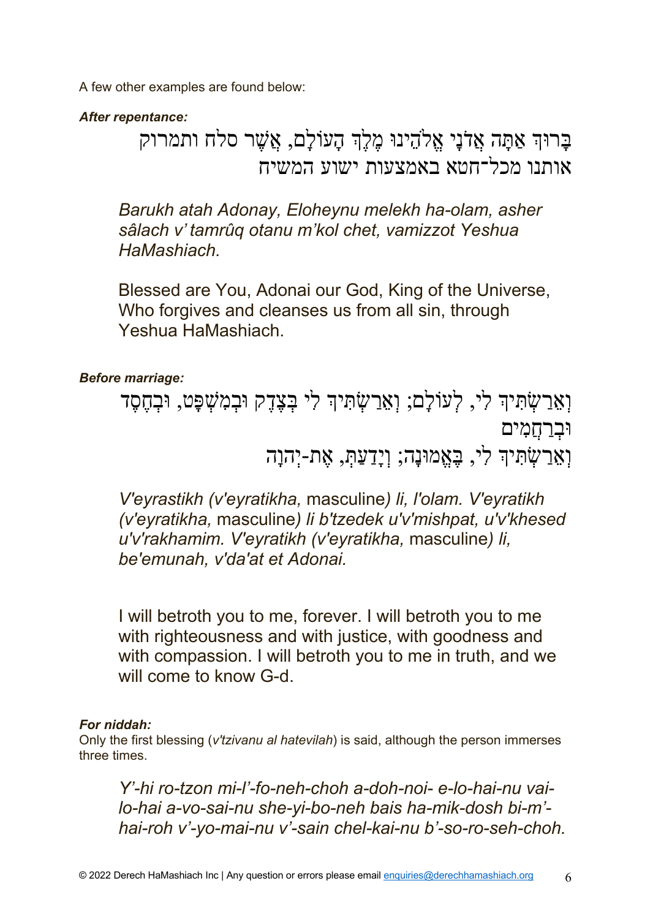A few other examples are found below:

*After repentance:*

## ַבְרוּדְ אַתַּה אֲלִנֵי אֱלֹהֶינוּ מֶלֵֽךְ הָעוֹלַם, אֲשֶׁר סלח ותמרוק אותנו מכל־חטא באמצעות ישוע המשיח

*Barukh atah Adonay, Eloheynu melekh ha-olam, asher sâlach v' tamrûq otanu m'kol chet, vamizzot Yeshua HaMashiach.*

Blessed are You, Adonai our God, King of the Universe, Who forgives and cleanses us from all sin, through Yeshua HaMashiach.

#### *Before marriage:*

וְאֵרֲשָׂתִ<sup>ּ</sup>יִךְ לְעוֹלָם; וְאֵרֲשָׂתִּיךְ לִי בְּצֶדֶק וּבְמִשָּׁפָט, וּבְחֶסֶד **וּבְרַחֲמִים** וְאֵרַשְׂתִּיךְ לִי, בֶּאֱמוּנָה; וְיָדַעַתְּ, אֵת-יִהְוָה

*V'eyrastikh (v'eyratikha,* masculine*) li, l'olam. V'eyratikh (v'eyratikha,* masculine*) li b'tzedek u'v'mishpat, u'v'khesed u'v'rakhamim. V'eyratikh (v'eyratikha,* masculine*) li, be'emunah, v'da'at et Adonai.*

I will betroth you to me, forever. I will betroth you to me with righteousness and with justice, with goodness and with compassion. I will betroth you to me in truth, and we will come to know G-d.

#### *For niddah:*

Only the first blessing (*v'tzivanu al hatevilah*) is said, although the person immerses three times.

*Y'-hi ro-tzon mi-l'-fo-neh-choh a-doh-noi- e-lo-hai-nu vailo-hai a-vo-sai-nu she-yi-bo-neh bais ha-mik-dosh bi-m' hai-roh v'-yo-mai-nu v'-sain chel-kai-nu b'-so-ro-seh-choh.*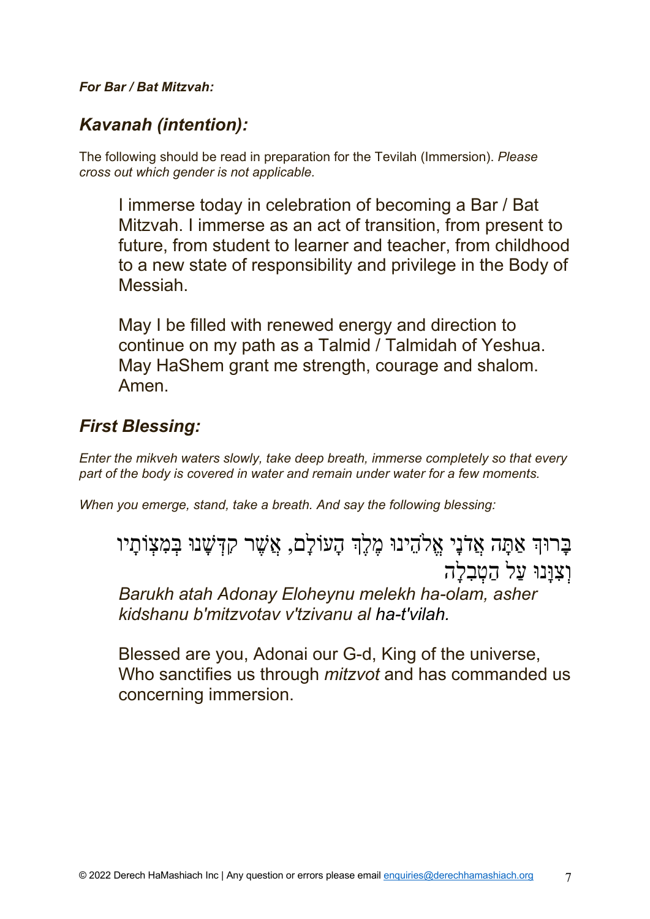#### *For Bar / Bat Mitzvah:*

### *Kavanah (intention):*

The following should be read in preparation for the Tevilah (Immersion). *Please cross out which gender is not applicable.*

I immerse today in celebration of becoming a Bar / Bat Mitzvah. I immerse as an act of transition, from present to future, from student to learner and teacher, from childhood to a new state of responsibility and privilege in the Body of Messiah.

May I be filled with renewed energy and direction to continue on my path as a Talmid / Talmidah of Yeshua. May HaShem grant me strength, courage and shalom. Amen.

### *First Blessing:*

*Enter the mikveh waters slowly, take deep breath, immerse completely so that every part of the body is covered in water and remain under water for a few moments.*

*When you emerge, stand, take a breath. And say the following blessing:*

ַבְרוּךְ אַתַּה אֲלֹנֵי אֱלֹהֶינוּ מֶלֶךְ הָעוֹלַם, אֲשֶׁר קִדְּשָׁנוּ בִּמְצָוֹתַיו וְצְוַּנוּ עַל הַטְבְלָה

*Barukh atah Adonay Eloheynu melekh ha-olam, asher kidshanu b'mitzvotav v'tzivanu al ha-t'vilah.*

Blessed are you, Adonai our G-d, King of the universe, Who sanctifies us through *mitzvot* and has commanded us concerning immersion.